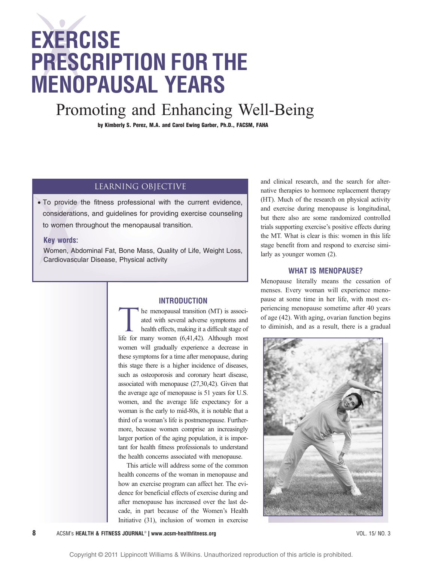# EXERCISE PRESCRIPTION FOR THE MENOPAUSAL YEARS

## Promoting and Enhancing Well-Being

by Kimberly S. Perez, M.A. and Carol Ewing Garber, Ph.D., FACSM, FAHA

#### Learning Objective

*•* To provide the fitness professional with the current evidence, considerations, and guidelines for providing exercise counseling to women throughout the menopausal transition.

#### Key words:

Women, Abdominal Fat, Bone Mass, Quality of Life, Weight Loss, Cardiovascular Disease, Physical activity

#### INTRODUCTION

THE menopausal transition (MT) is associated with several adverse symptoms and health effects, making it a difficult stage of ated with several adverse symptoms and health effects, making it a difficult stage of life for many women (6,41,42). Although most women will gradually experience a decrease in these symptoms for a time after menopause, during this stage there is a higher incidence of diseases, such as osteoporosis and coronary heart disease, associated with menopause (27,30,42). Given that the average age of menopause is 51 years for U.S. women, and the average life expectancy for a woman is the early to mid-80s, it is notable that a third of a woman's life is postmenopause. Furthermore, because women comprise an increasingly larger portion of the aging population, it is important for health fitness professionals to understand the health concerns associated with menopause.

This article will address some of the common health concerns of the woman in menopause and how an exercise program can affect her. The evidence for beneficial effects of exercise during and after menopause has increased over the last decade, in part because of the Women's Health Initiative (31), inclusion of women in exercise

and clinical research, and the search for alternative therapies to hormone replacement therapy (HT). Much of the research on physical activity and exercise during menopause is longitudinal, but there also are some randomized controlled trials supporting exercise's positive effects during the MT. What is clear is this: women in this life stage benefit from and respond to exercise similarly as younger women (2).

#### WHAT IS MENOPAUSE?

Menopause literally means the cessation of menses. Every woman will experience menopause at some time in her life, with most experiencing menopause sometime after 40 years of age (42). With aging, ovarian function begins to diminish, and as a result, there is a gradual

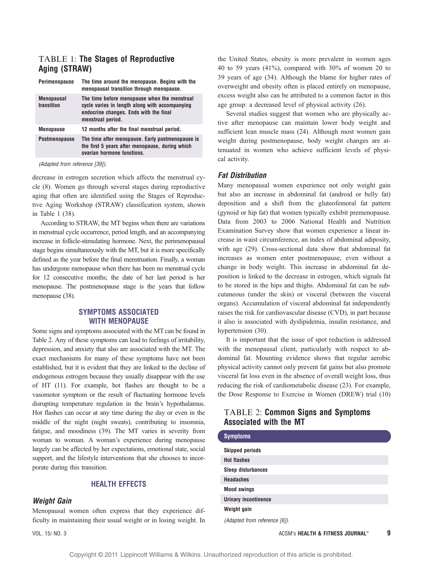#### TABLE 1: The Stages of Reproductive Aging (STRAW)

| Perimenopause                   | The time around the menopause. Begins with the<br>menopausal transition through menopause.                                                                    |
|---------------------------------|---------------------------------------------------------------------------------------------------------------------------------------------------------------|
| <b>Menopausal</b><br>transition | The time before menopause when the menstrual<br>cycle varies in length along with accompanying<br>endocrine changes. Ends with the final<br>menstrual period. |
| <b>Menopause</b>                | 12 months after the final menstrual period.                                                                                                                   |
| <b>Postmenopause</b>            | The time after menopause. Early postmenopause is<br>the first 5 years after menopause, during which<br>ovarian hormone functions.                             |

(Adapted from reference [39]).

decrease in estrogen secretion which affects the menstrual cycle (8). Women go through several stages during reproductive aging that often are identified using the Stages of Reproductive Aging Workshop (STRAW) classification system, shown in Table 1 (38).

According to STRAW, the MT begins when there are variations in menstrual cycle occurrence, period length, and an accompanying increase in follicle-stimulating hormone. Next, the perimenopausal stage begins simultaneously with the MT, but it is more specifically defined as the year before the final menstruation. Finally, a woman has undergone menopause when there has been no menstrual cycle for 12 consecutive months; the date of her last period is her menopause. The postmenopause stage is the years that follow menopause (38).

#### SYMPTOMS ASSOCIATED WITH MENOPAUSE

Some signs and symptoms associated with the MT can be found in Table 2. Any of these symptoms can lead to feelings of irritability, depression, and anxiety that also are associated with the MT. The exact mechanisms for many of these symptoms have not been established, but it is evident that they are linked to the decline of endogenous estrogen because they usually disappear with the use of HT (11). For example, hot flashes are thought to be a vasomotor symptom or the result of fluctuating hormone levels disrupting temperature regulation in the brain's hypothalamus. Hot flashes can occur at any time during the day or even in the middle of the night (night sweats), contributing to insomnia, fatigue, and moodiness (39). The MT varies in severity from woman to woman. A woman's experience during menopause largely can be affected by her expectations, emotional state, social support, and the lifestyle interventions that she chooses to incorporate during this transition.

#### HEALTH EFFECTS

#### Weight Gain

Menopausal women often express that they experience difficulty in maintaining their usual weight or in losing weight. In

the United States, obesity is more prevalent in women ages 40 to 59 years (41%), compared with 30% of women 20 to 39 years of age (34). Although the blame for higher rates of overweight and obesity often is placed entirely on menopause, excess weight also can be attributed to a common factor in this age group: a decreased level of physical activity (26).

Several studies suggest that women who are physically active after menopause can maintain lower body weight and sufficient lean muscle mass (24). Although most women gain weight during postmenopause, body weight changes are attenuated in women who achieve sufficient levels of physical activity.

#### Fat Distribution

Many menopausal women experience not only weight gain but also an increase in abdominal fat (android or belly fat) deposition and a shift from the gluteofemoral fat pattern (gynoid or hip fat) that women typically exhibit premenopause. Data from 2003 to 2006 National Health and Nutrition Examination Survey show that women experience a linear increase in waist circumference, an index of abdominal adiposity, with age (29). Cross-sectional data show that abdominal fat increases as women enter postmenopause, even without a change in body weight. This increase in abdominal fat deposition is linked to the decrease in estrogen, which signals fat to be stored in the hips and thighs. Abdominal fat can be subcutaneous (under the skin) or visceral (between the visceral organs). Accumulation of visceral abdominal fat independently raises the risk for cardiovascular disease (CVD), in part because it also is associated with dyslipidemia, insulin resistance, and hypertension (30).

It is important that the issue of spot reduction is addressed with the menopausal client, particularly with respect to abdominal fat. Mounting evidence shows that regular aerobic physical activity cannot only prevent fat gains but also promote visceral fat loss even in the absence of overall weight loss, thus reducing the risk of cardiometabolic disease (23). For example, the Dose Response to Exercise in Women (DREW) trial (10)

#### TABLE 2: Common Signs and Symptoms Associated with the MT

| <b>Symptoms</b>             |
|-----------------------------|
| <b>Skipped periods</b>      |
| <b>Hot flashes</b>          |
| <b>Sleep disturbances</b>   |
| <b>Headaches</b>            |
| <b>Mood swings</b>          |
| <b>Urinary incontinence</b> |
| Weight gain                 |

(Adapted from reference [6]).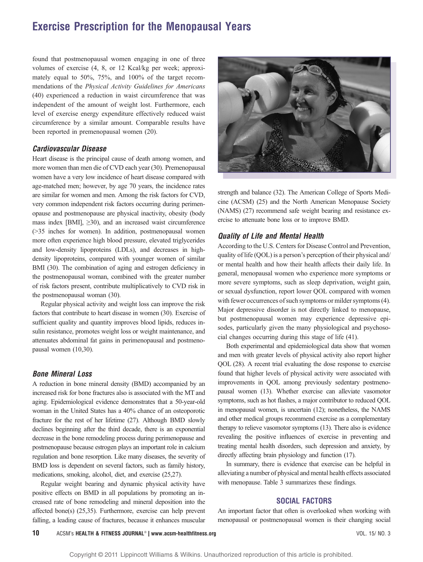## Exercise Prescription for the Menopausal Years

found that postmenopausal women engaging in one of three volumes of exercise (4, 8, or 12 Kcal/kg per week; approximately equal to 50%, 75%, and 100% of the target recommendations of the Physical Activity Guidelines for Americans (40) experienced a reduction in waist circumference that was independent of the amount of weight lost. Furthermore, each level of exercise energy expenditure effectively reduced waist circumference by a similar amount. Comparable results have been reported in premenopausal women (20).

#### Cardiovascular Disease

Heart disease is the principal cause of death among women, and more women than men die of CVD each year (30). Premenopausal women have a very low incidence of heart disease compared with age-matched men; however, by age 70 years, the incidence rates are similar for women and men. Among the risk factors for CVD, very common independent risk factors occurring during perimenopause and postmenopause are physical inactivity, obesity (body mass index  $[BMI]$ ,  $\geq$ 30), and an increased waist circumference (935 inches for women). In addition, postmenopausal women more often experience high blood pressure, elevated triglycerides and low-density lipoproteins (LDLs), and decreases in highdensity lipoproteins, compared with younger women of similar BMI (30). The combination of aging and estrogen deficiency in the postmenopausal woman, combined with the greater number of risk factors present, contribute multiplicatively to CVD risk in the postmenopausal woman (30).

Regular physical activity and weight loss can improve the risk factors that contribute to heart disease in women (30). Exercise of sufficient quality and quantity improves blood lipids, reduces insulin resistance, promotes weight loss or weight maintenance, and attenuates abdominal fat gains in perimenopausal and postmenopausal women (10,30).

#### Bone Mineral Loss

A reduction in bone mineral density (BMD) accompanied by an increased risk for bone fractures also is associated with the MT and aging. Epidemiological evidence demonstrates that a 50-year-old woman in the United States has a 40% chance of an osteoporotic fracture for the rest of her lifetime (27). Although BMD slowly declines beginning after the third decade, there is an exponential decrease in the bone remodeling process during perimenopause and postmenopause because estrogen plays an important role in calcium regulation and bone resorption. Like many diseases, the severity of BMD loss is dependent on several factors, such as family history, medications, smoking, alcohol, diet, and exercise (25,27).

Regular weight bearing and dynamic physical activity have positive effects on BMD in all populations by promoting an increased rate of bone remodeling and mineral deposition into the affected bone(s) (25,35). Furthermore, exercise can help prevent falling, a leading cause of fractures, because it enhances muscular



strength and balance (32). The American College of Sports Medicine (ACSM) (25) and the North American Menopause Society (NAMS) (27) recommend safe weight bearing and resistance exercise to attenuate bone loss or to improve BMD.

#### Quality of Life and Mental Health

According to the U.S. Centers for Disease Control and Prevention, quality of life (QOL) is a person's perception of their physical and/ or mental health and how their health affects their daily life. In general, menopausal women who experience more symptoms or more severe symptoms, such as sleep deprivation, weight gain, or sexual dysfunction, report lower QOL compared with women with fewer occurrences of such symptoms or milder symptoms (4). Major depressive disorder is not directly linked to menopause, but postmenopausal women may experience depressive episodes, particularly given the many physiological and psychosocial changes occurring during this stage of life (41).

Both experimental and epidemiological data show that women and men with greater levels of physical activity also report higher QOL (28). A recent trial evaluating the dose response to exercise found that higher levels of physical activity were associated with improvements in QOL among previously sedentary postmenopausal women (13). Whether exercise can alleviate vasomotor symptoms, such as hot flashes, a major contributor to reduced QOL in menopausal women, is uncertain (12); nonetheless, the NAMS and other medical groups recommend exercise as a complementary therapy to relieve vasomotor symptoms (13). There also is evidence revealing the positive influences of exercise in preventing and treating mental health disorders, such depression and anxiety, by directly affecting brain physiology and function (17).

In summary, there is evidence that exercise can be helpful in alleviating a number of physical and mental health effects associated with menopause. Table 3 summarizes these findings.

#### SOCIAL FACTORS

An important factor that often is overlooked when working with menopausal or postmenopausal women is their changing social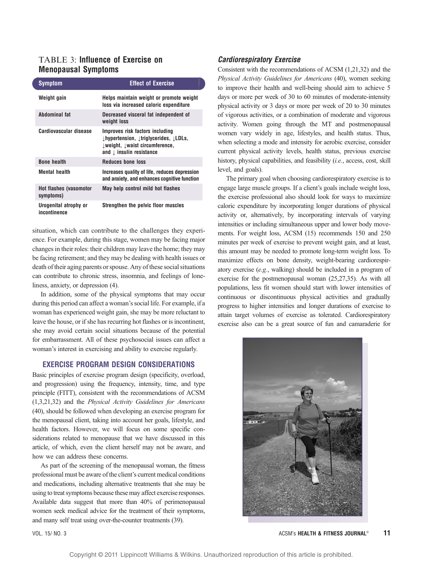#### TABLE 3: Influence of Exercise on Menopausal Symptoms

| <b>Symptom</b>                             | <b>Effect of Exercise</b>                                                                                                                                                        |
|--------------------------------------------|----------------------------------------------------------------------------------------------------------------------------------------------------------------------------------|
| Weight gain                                | Helps maintain weight or promote weight<br>loss via increased caloric expenditure                                                                                                |
| Abdominal fat                              | Decreased visceral fat independent of<br>weight loss                                                                                                                             |
| Cardiovascular disease                     | Improves risk factors including<br>$\downarrow$ hypertension, $\downarrow$ triglycerides, $\downarrow$ LDLs,<br>lweight, lwaist circumference,<br>and $\perp$ insulin resistance |
| <b>Bone health</b>                         | <b>Reduces bone loss</b>                                                                                                                                                         |
| <b>Mental health</b>                       | Increases quality of life, reduces depression<br>and anxiety, and enhances cognitive function                                                                                    |
| <b>Hot flashes (vasomotor</b><br>symptoms) | May help control mild hot flashes                                                                                                                                                |
| Urogenital atrophy or<br>incontinence      | Strengthen the pelvic floor muscles                                                                                                                                              |

situation, which can contribute to the challenges they experience. For example, during this stage, women may be facing major changes in their roles: their children may leave the home; they may be facing retirement; and they may be dealing with health issues or death of their aging parents or spouse. Any of these social situations can contribute to chronic stress, insomnia, and feelings of loneliness, anxiety, or depression (4).

In addition, some of the physical symptoms that may occur during this period can affect a woman's social life. For example, if a woman has experienced weight gain, she may be more reluctant to leave the house, or if she has recurring hot flashes or is incontinent, she may avoid certain social situations because of the potential for embarrassment. All of these psychosocial issues can affect a woman's interest in exercising and ability to exercise regularly.

#### EXERCISE PROGRAM DESIGN CONSIDERATIONS

Basic principles of exercise program design (specificity, overload, and progression) using the frequency, intensity, time, and type principle (FITT), consistent with the recommendations of ACSM (1,3,21,32) and the Physical Activity Guidelines for Americans (40), should be followed when developing an exercise program for the menopausal client, taking into account her goals, lifestyle, and health factors. However, we will focus on some specific considerations related to menopause that we have discussed in this article, of which, even the client herself may not be aware, and how we can address these concerns.

As part of the screening of the menopausal woman, the fitness professional must be aware of the client's current medical conditions and medications, including alternative treatments that she may be using to treat symptoms because these may affect exercise responses. Available data suggest that more than 40% of perimenopausal women seek medical advice for the treatment of their symptoms, and many self treat using over-the-counter treatments (39).

#### Cardiorespiratory Exercise

Consistent with the recommendations of ACSM (1,21,32) and the Physical Activity Guidelines for Americans (40), women seeking to improve their health and well-being should aim to achieve 5 days or more per week of 30 to 60 minutes of moderate-intensity physical activity or 3 days or more per week of 20 to 30 minutes of vigorous activities, or a combination of moderate and vigorous activity. Women going through the MT and postmenopausal women vary widely in age, lifestyles, and health status. Thus, when selecting a mode and intensity for aerobic exercise, consider current physical activity levels, health status, previous exercise history, physical capabilities, and feasibility (i.e., access, cost, skill level, and goals).

The primary goal when choosing cardiorespiratory exercise is to engage large muscle groups. If a client's goals include weight loss, the exercise professional also should look for ways to maximize caloric expenditure by incorporating longer durations of physical activity or, alternatively, by incorporating intervals of varying intensities or including simultaneous upper and lower body movements. For weight loss, ACSM (15) recommends 150 and 250 minutes per week of exercise to prevent weight gain, and at least, this amount may be needed to promote long-term weight loss. To maximize effects on bone density, weight-bearing cardiorespiratory exercise (e.g., walking) should be included in a program of exercise for the postmenopausal woman (25,27,35). As with all populations, less fit women should start with lower intensities of continuous or discontinuous physical activities and gradually progress to higher intensities and longer durations of exercise to attain target volumes of exercise as tolerated. Cardiorespiratory exercise also can be a great source of fun and camaraderie for

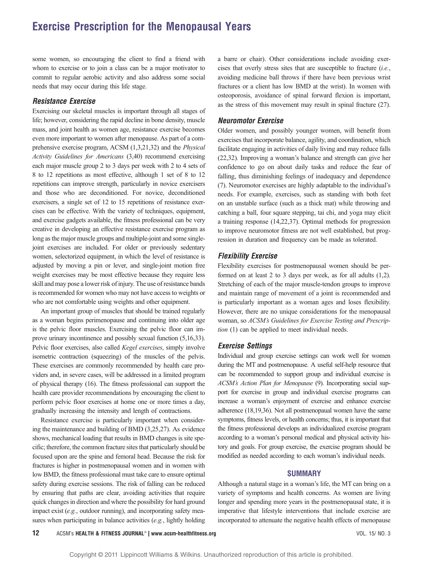### Exercise Prescription for the Menopausal Years

some women, so encouraging the client to find a friend with whom to exercise or to join a class can be a major motivator to commit to regular aerobic activity and also address some social needs that may occur during this life stage.

#### Resistance Exercise

Exercising our skeletal muscles is important through all stages of life; however, considering the rapid decline in bone density, muscle mass, and joint health as women age, resistance exercise becomes even more important to women after menopause. As part of a comprehensive exercise program, ACSM (1,3,21,32) and the Physical Activity Guidelines for Americans (3,40) recommend exercising each major muscle group 2 to 3 days per week with 2 to 4 sets of 8 to 12 repetitions as most effective, although 1 set of 8 to 12 repetitions can improve strength, particularly in novice exercisers and those who are deconditioned. For novice, deconditioned exercisers, a single set of 12 to 15 repetitions of resistance exercises can be effective. With the variety of techniques, equipment, and exercise gadgets available, the fitness professional can be very creative in developing an effective resistance exercise program as long as the major muscle groups and multiple-joint and some singlejoint exercises are included. For older or previously sedentary women, selectorized equipment, in which the level of resistance is adjusted by moving a pin or lever, and single-joint motion free weight exercises may be most effective because they require less skill and may pose a lower risk of injury. The use of resistance bands is recommended for women who may not have access to weights or who are not comfortable using weights and other equipment.

An important group of muscles that should be trained regularly as a woman begins perimenopause and continuing into older age is the pelvic floor muscles. Exercising the pelvic floor can improve urinary incontinence and possibly sexual function (5,16,33). Pelvic floor exercises, also called *Kegel exercises*, simply involve isometric contraction (squeezing) of the muscles of the pelvis. These exercises are commonly recommended by health care providers and, in severe cases, will be addressed in a limited program of physical therapy (16). The fitness professional can support the health care provider recommendations by encouraging the client to perform pelvic floor exercises at home one or more times a day, gradually increasing the intensity and length of contractions.

Resistance exercise is particularly important when considering the maintenance and building of BMD (3,25,27). As evidence shows, mechanical loading that results in BMD changes is site specific; therefore, the common fracture sites that particularly should be focused upon are the spine and femoral head. Because the risk for fractures is higher in postmenopausal women and in women with low BMD, the fitness professional must take care to ensure optimal safety during exercise sessions. The risk of falling can be reduced by ensuring that paths are clear, avoiding activities that require quick changes in direction and where the possibility for hard ground impact exist (e.g., outdoor running), and incorporating safety measures when participating in balance activities (e.g., lightly holding

a barre or chair). Other considerations include avoiding exercises that overly stress sites that are susceptible to fracture (i.e., avoiding medicine ball throws if there have been previous wrist fractures or a client has low BMD at the wrist). In women with osteoporosis, avoidance of spinal forward flexion is important, as the stress of this movement may result in spinal fracture (27).

#### Neuromotor Exercise

Older women, and possibly younger women, will benefit from exercises that incorporate balance, agility, and coordination, which facilitate engaging in activities of daily living and may reduce falls (22,32). Improving a woman's balance and strength can give her confidence to go on about daily tasks and reduce the fear of falling, thus diminishing feelings of inadequacy and dependence (7). Neuromotor exercises are highly adaptable to the individual's needs. For example, exercises, such as standing with both feet on an unstable surface (such as a thick mat) while throwing and catching a ball, four square stepping, tai chi, and yoga may elicit a training response (14,22,37). Optimal methods for progression to improve neuromotor fitness are not well established, but progression in duration and frequency can be made as tolerated.

#### Flexibility Exercise

Flexibility exercises for postmenopausal women should be performed on at least 2 to 3 days per week, as for all adults (1,2). Stretching of each of the major muscle-tendon groups to improve and maintain range of movement of a joint is recommended and is particularly important as a woman ages and loses flexibility. However, there are no unique considerations for the menopausal woman, so ACSM's Guidelines for Exercise Testing and Prescription (1) can be applied to meet individual needs.

#### Exercise Settings

Individual and group exercise settings can work well for women during the MT and postmenopause. A useful self-help resource that can be recommended to support group and individual exercise is ACSM's Action Plan for Menopause (9). Incorporating social support for exercise in group and individual exercise programs can increase a woman's enjoyment of exercise and enhance exercise adherence (18,19,36). Not all postmenopaual women have the same symptoms, fitness levels, or health concerns; thus, it is important that the fitness professional develops an individualized exercise program according to a woman's personal medical and physical activity history and goals. For group exercise, the exercise program should be modified as needed according to each woman's individual needs.

#### SUMMARY

Although a natural stage in a woman's life, the MT can bring on a variety of symptoms and health concerns. As women are living longer and spending more years in the postmenopausal state, it is imperative that lifestyle interventions that include exercise are incorporated to attenuate the negative health effects of menopause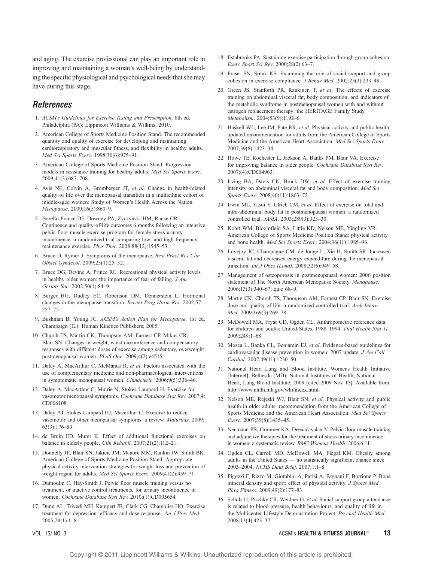and aging. The exercise professional can play an important role in improving and maintaining a woman's well-being by understanding the specific physiological and psychological needs that she may have during this stage.

#### References

- 1. ACSM's Guidelines for Exercise Testing and Prescription. 8th ed. Philadelphia (PA): Lippincott Williams & Wilkins; 2010.
- 2. American College of Sports Medicine Position Stand. The recommended quantity and quality of exercise for developing and maintaining cardiorespiratory and muscular fitness, and flexibility in healthy adults. Med Sci Sports Exerc. 1998;30(6):975-91.
- 3. American College of Sports Medicine Position Stand. Progression models in resistance training for healthy adults. Med Sci Sports Exerc. 2009;41(3):687-708.
- 4. Avis NE, Colvin A, Bromberger JT, et al. Change in health-related quality of life over the menopausal transition in a multiethnic cohort of middle-aged women: Study of Women's Health Across the Nation. Menopause. 2009;16(5):860-9.
- 5. Borello-France DF, Downey PA, Zyczynski HM, Rause CR. Continence and quality-of-life outcomes 6 months following an intensive pelvic-floor muscle exercise program for female stress urinary incontinence: a randomized trial comparing low- and high-frequency maintenance exercise. Phys Ther. 2008;88(12):1545-53.
- 6. Bruce D, Rymer J. Symptoms of the menopause. Best Pract Res Clin Obstet Gynaecol. 2009;23(1):25-32.
- 7. Bruce DG, Devine A, Prince RL. Recreational physical activity levels in healthy older women: the importance of fear of falling.  $JAm$ Geriatr Soc. 2002;50(1):84-9.
- 8. Burger HG, Dudley EC, Robertson DM, Dennerstein L. Hormonal changes in the menopause transition. Recent Prog Horm Res. 2002;57:  $257 - 75$
- 9. Bushman B, Young JC. ACSM's Action Plan for Menopause. 1st ed. Champaign (IL): Human Kinetics Publishers; 2005.
- 10. Church TS, Martin CK, Thompson AM, Earnest CP, Mikus CR, Blair SN. Changes in weight, waist circumference and compensatory responses with different doses of exercise among sedentary, overweight postmenopausal women. PLoS One. 2009;4(2):e4515.
- 11. Daley A, MacArthur C, McManus R, et al. Factors associated with the use of complementary medicine and non-pharmacological interventions in symptomatic menopausal women. Climacteric. 2006;9(5):336-46.
- 12. Daley A, MacArthur C, Mutrie N, Stokes-Lampard H. Exercise for vasomotor menopausal symptoms. Cochrane Database Syst Rev. 2007;4: CD006108.
- 13. Daley AJ, Stokes-Lampard HJ, Macarthur C. Exercise to reduce vasomotor and other menopausal symptoms: a review. Maturitas. 2009;  $63(3):176-80.$
- 14. de Bruin ED, Murer K. Effect of additional functional exercises on balance in elderly people. Clin Rehabil. 2007;21(2):112-21.
- 15. Donnelly JE, Blair SN, Jakicic JM, Manore MM, Rankin JW, Smith BK. American College of Sports Medicine Position Stand. Appropriate physical activity intervention strategies for weight loss and prevention of weight regain for adults. Med Sci Sports Exerc. 2009;41(2):459-71.
- 16. Dumoulin C, Hay-Smith J. Pelvic floor muscle training versus no treatment, or inactive control treatments, for urinary incontinence in women. Cochrane Database Syst Rev. 2010;(1):CD005654.
- 17. Dunn AL, Trivedi MH, Kampert JB, Clark CG, Chambliss HO. Exercise treatment for depression: efficacy and dose response. Am J Prev Med. 2005;28(1):1-8.

- 18. Estabrooks PA. Sustaining exercise participation through group cohesion. Exerc Sport Sci Rev. 2000;28(2):63-7.
- 19. Fraser SN, Spink KS. Examining the role of social support and group cohesion in exercise compliance. J Behav Med. 2002;25(3):233-49.
- 20. Green JS, Stanforth PR, Rankinen T, et al. The effects of exercise training on abdominal visceral fat, body composition, and indicators of the metabolic syndrome in postmenopausal women with and without estrogen replacement therapy: the HERITAGE Family Study. Metabolism. 2004;53(9):1192-6.
- 21. Haskell WL, Lee IM, Pate RR, et al. Physical activity and public health: updated recommendation for adults from the American College of Sports Medicine and the American Heart Association. Med Sci Sports Exerc. 2007;39(8):1423-34.
- 22. Howe TE, Rochester L, Jackson A, Banks PM, Blair VA. Exercise for improving balance in older people. Cochrane Database Syst Rev. 2007;(4):CD004963.
- 23. Irving BA, Davis CK, Brock DW, et al. Effect of exercise training intensity on abdominal visceral fat and body composition. Med Sci Sports Exerc. 2008;40(11):1863-72.
- 24. Irwin ML, Yasui Y, Ulrich CM, et al. Effect of exercise on total and intra-abdominal body fat in postmenopausal women: a randomized controlled trial. JAMA. 2003;289(3):323-30.
- 25. Kohrt WM, Bloomfield SA, Little KD, Nelson ME, Yingling VR. American College of Sports Medicine Position Stand: physical activity and bone health. Med Sci Sports Exerc. 2004;36(11):1985-96.
- 26. Lovejoy JC, Champagne CM, de Jonge L, Xie H, Smith SR. Increased visceral fat and decreased energy expenditure during the menopausal transition. Int J Obes (Lond).  $2008;32(6):949-58$ .
- 27. Management of osteoporosis in postmenopausal women: 2006 position statement of The North American Menopause Society. Menopause. 2006;13(3):340-67; quiz 68-9.
- 28. Martin CK, Church TS, Thompson AM, Earnest CP, Blair SN. Exercise dose and quality of life: a randomized controlled trial. Arch Intern Med. 2009;169(3):269-78.
- 29. McDowell MA, Fryar CD, Ogden CL. Anthropometric reference data for children and adults: United States, 1988-1994. Vital Health Stat 11.  $2009.249.1 - 68$
- 30. Mosca L, Banka CL, Benjamin EJ, et al. Evidence-based guidelines for cardiovascular disease prevention in women: 2007 update. J Am Coll Cardiol. 2007;49(11):1230-50.
- 31. National Heart Lung and Blood Institute. Womens Health Initiative [Internet]. Bethesda (MD): National Institutes of Health, National Heart, Lung Blood Institute; 2009 [cited 2009 Nov 15]. Available from: http://www.nhlbi.nih.gov/whi/index.html.
- 32. Nelson ME, Rejeski WJ, Blair SN, et al. Physical activity and public health in older adults: recommendation from the American College of Sports Medicine and the American Heart Association. Med Sci Sports Exerc. 2007;39(8):1435-45.
- 33. Neumann PB, Grimmer KA, Deenadayalan Y. Pelvic floor muscle training and adjunctive therapies for the treatment of stress urinary incontinence in women: a systematic review. BMC Womens Health. 2006;6:11.
- 34. Ogden CL, Carroll MD, McDowell MA, Flegal KM. Obesity among adults in the United States - no statistically significant chance since 2003-2004. NCHS Data Brief. 2007;1:1-8.
- 35. Pigozzi F, Rizzo M, Giombini A, Parisi A, Fagnani F, Borrione P. Bone mineral density and sport: effect of physical activity. J Sports Med Phys Fitness. 2009;49(2):177-83.
- 36. Schulz U, Pischke CR, Weidner G, et al. Social support group attendance is related to blood pressure, health behaviours, and quality of life in the Multicenter Lifestyle Demonstration Project. Psychol Health Med. 2008;13(4):423-37.